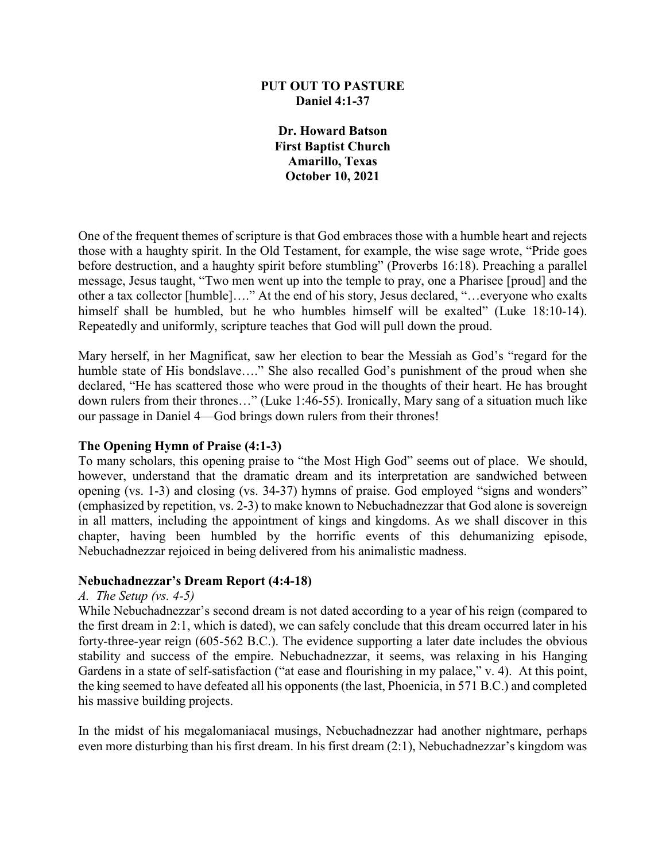## **PUT OUT TO PASTURE Daniel 4:1-37**

**Dr. Howard Batson First Baptist Church Amarillo, Texas October 10, 2021**

One of the frequent themes of scripture is that God embraces those with a humble heart and rejects those with a haughty spirit. In the Old Testament, for example, the wise sage wrote, "Pride goes before destruction, and a haughty spirit before stumbling" (Proverbs 16:18). Preaching a parallel message, Jesus taught, "Two men went up into the temple to pray, one a Pharisee [proud] and the other a tax collector [humble]…." At the end of his story, Jesus declared, "…everyone who exalts himself shall be humbled, but he who humbles himself will be exalted" (Luke 18:10-14). Repeatedly and uniformly, scripture teaches that God will pull down the proud.

Mary herself, in her Magnificat, saw her election to bear the Messiah as God's "regard for the humble state of His bondslave...." She also recalled God's punishment of the proud when she declared, "He has scattered those who were proud in the thoughts of their heart. He has brought down rulers from their thrones…" (Luke 1:46-55). Ironically, Mary sang of a situation much like our passage in Daniel 4—God brings down rulers from their thrones!

## **The Opening Hymn of Praise (4:1-3)**

To many scholars, this opening praise to "the Most High God" seems out of place. We should, however, understand that the dramatic dream and its interpretation are sandwiched between opening (vs. 1-3) and closing (vs. 34-37) hymns of praise. God employed "signs and wonders" (emphasized by repetition, vs. 2-3) to make known to Nebuchadnezzar that God alone is sovereign in all matters, including the appointment of kings and kingdoms. As we shall discover in this chapter, having been humbled by the horrific events of this dehumanizing episode, Nebuchadnezzar rejoiced in being delivered from his animalistic madness.

## **Nebuchadnezzar's Dream Report (4:4-18)**

#### *A. The Setup (vs. 4-5)*

While Nebuchadnezzar's second dream is not dated according to a year of his reign (compared to the first dream in 2:1, which is dated), we can safely conclude that this dream occurred later in his forty-three-year reign (605-562 B.C.). The evidence supporting a later date includes the obvious stability and success of the empire. Nebuchadnezzar, it seems, was relaxing in his Hanging Gardens in a state of self-satisfaction ("at ease and flourishing in my palace," v. 4). At this point, the king seemed to have defeated all his opponents (the last, Phoenicia, in 571 B.C.) and completed his massive building projects.

In the midst of his megalomaniacal musings, Nebuchadnezzar had another nightmare, perhaps even more disturbing than his first dream. In his first dream (2:1), Nebuchadnezzar's kingdom was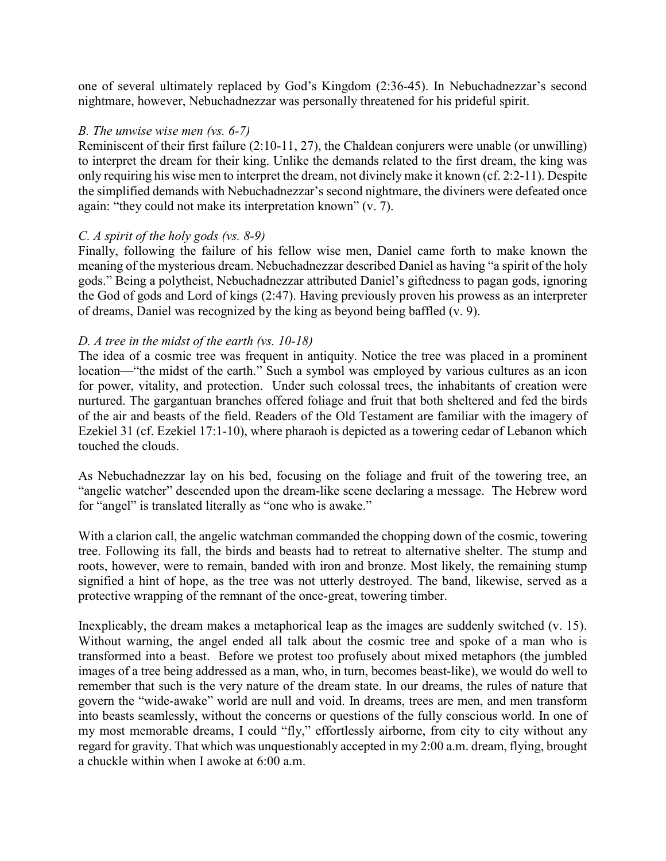one of several ultimately replaced by God's Kingdom (2:36-45). In Nebuchadnezzar's second nightmare, however, Nebuchadnezzar was personally threatened for his prideful spirit.

## *B. The unwise wise men (vs. 6-7)*

Reminiscent of their first failure (2:10-11, 27), the Chaldean conjurers were unable (or unwilling) to interpret the dream for their king. Unlike the demands related to the first dream, the king was only requiring his wise men to interpret the dream, not divinely make it known (cf. 2:2-11). Despite the simplified demands with Nebuchadnezzar's second nightmare, the diviners were defeated once again: "they could not make its interpretation known" (v. 7).

## *C. A spirit of the holy gods (vs. 8-9)*

Finally, following the failure of his fellow wise men, Daniel came forth to make known the meaning of the mysterious dream. Nebuchadnezzar described Daniel as having "a spirit of the holy gods." Being a polytheist, Nebuchadnezzar attributed Daniel's giftedness to pagan gods, ignoring the God of gods and Lord of kings (2:47). Having previously proven his prowess as an interpreter of dreams, Daniel was recognized by the king as beyond being baffled (v. 9).

## *D. A tree in the midst of the earth (vs. 10-18)*

The idea of a cosmic tree was frequent in antiquity. Notice the tree was placed in a prominent location—"the midst of the earth." Such a symbol was employed by various cultures as an icon for power, vitality, and protection. Under such colossal trees, the inhabitants of creation were nurtured. The gargantuan branches offered foliage and fruit that both sheltered and fed the birds of the air and beasts of the field. Readers of the Old Testament are familiar with the imagery of Ezekiel 31 (cf. Ezekiel 17:1-10), where pharaoh is depicted as a towering cedar of Lebanon which touched the clouds.

As Nebuchadnezzar lay on his bed, focusing on the foliage and fruit of the towering tree, an "angelic watcher" descended upon the dream-like scene declaring a message. The Hebrew word for "angel" is translated literally as "one who is awake."

With a clarion call, the angelic watchman commanded the chopping down of the cosmic, towering tree. Following its fall, the birds and beasts had to retreat to alternative shelter. The stump and roots, however, were to remain, banded with iron and bronze. Most likely, the remaining stump signified a hint of hope, as the tree was not utterly destroyed. The band, likewise, served as a protective wrapping of the remnant of the once-great, towering timber.

Inexplicably, the dream makes a metaphorical leap as the images are suddenly switched (v. 15). Without warning, the angel ended all talk about the cosmic tree and spoke of a man who is transformed into a beast. Before we protest too profusely about mixed metaphors (the jumbled images of a tree being addressed as a man, who, in turn, becomes beast-like), we would do well to remember that such is the very nature of the dream state. In our dreams, the rules of nature that govern the "wide-awake" world are null and void. In dreams, trees are men, and men transform into beasts seamlessly, without the concerns or questions of the fully conscious world. In one of my most memorable dreams, I could "fly," effortlessly airborne, from city to city without any regard for gravity. That which was unquestionably accepted in my 2:00 a.m. dream, flying, brought a chuckle within when I awoke at 6:00 a.m.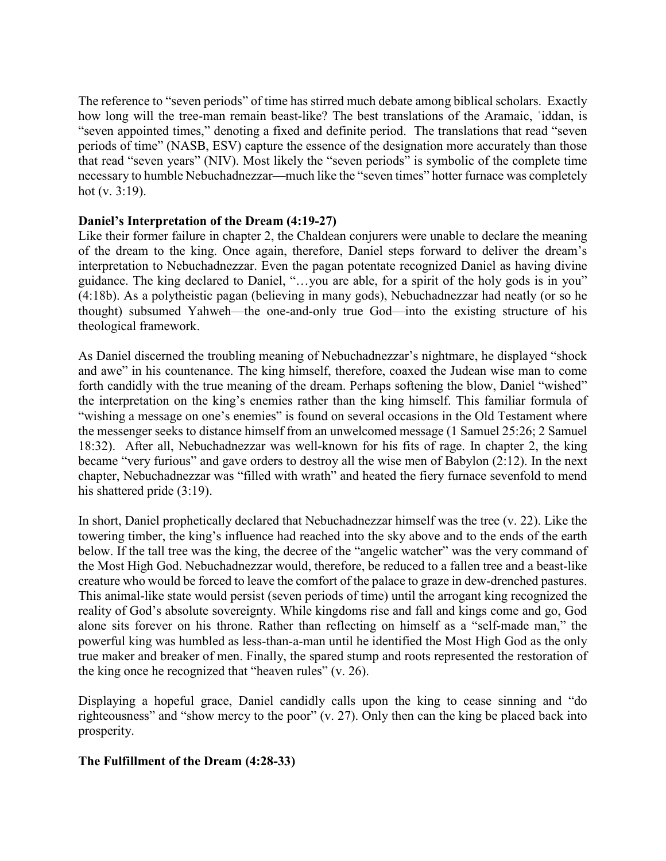The reference to "seven periods" of time has stirred much debate among biblical scholars. Exactly how long will the tree-man remain beast-like? The best translations of the Aramaic, ʿiddan, is "seven appointed times," denoting a fixed and definite period. The translations that read "seven periods of time" (NASB, ESV) capture the essence of the designation more accurately than those that read "seven years" (NIV). Most likely the "seven periods" is symbolic of the complete time necessary to humble Nebuchadnezzar—much like the "seven times" hotter furnace was completely hot (v. 3:19).

## **Daniel's Interpretation of the Dream (4:19-27)**

Like their former failure in chapter 2, the Chaldean conjurers were unable to declare the meaning of the dream to the king. Once again, therefore, Daniel steps forward to deliver the dream's interpretation to Nebuchadnezzar. Even the pagan potentate recognized Daniel as having divine guidance. The king declared to Daniel, "…you are able, for a spirit of the holy gods is in you" (4:18b). As a polytheistic pagan (believing in many gods), Nebuchadnezzar had neatly (or so he thought) subsumed Yahweh—the one-and-only true God—into the existing structure of his theological framework.

As Daniel discerned the troubling meaning of Nebuchadnezzar's nightmare, he displayed "shock and awe" in his countenance. The king himself, therefore, coaxed the Judean wise man to come forth candidly with the true meaning of the dream. Perhaps softening the blow, Daniel "wished" the interpretation on the king's enemies rather than the king himself. This familiar formula of "wishing a message on one's enemies" is found on several occasions in the Old Testament where the messenger seeks to distance himself from an unwelcomed message (1 Samuel 25:26; 2 Samuel 18:32). After all, Nebuchadnezzar was well-known for his fits of rage. In chapter 2, the king became "very furious" and gave orders to destroy all the wise men of Babylon (2:12). In the next chapter, Nebuchadnezzar was "filled with wrath" and heated the fiery furnace sevenfold to mend his shattered pride (3:19).

In short, Daniel prophetically declared that Nebuchadnezzar himself was the tree (v. 22). Like the towering timber, the king's influence had reached into the sky above and to the ends of the earth below. If the tall tree was the king, the decree of the "angelic watcher" was the very command of the Most High God. Nebuchadnezzar would, therefore, be reduced to a fallen tree and a beast-like creature who would be forced to leave the comfort of the palace to graze in dew-drenched pastures. This animal-like state would persist (seven periods of time) until the arrogant king recognized the reality of God's absolute sovereignty. While kingdoms rise and fall and kings come and go, God alone sits forever on his throne. Rather than reflecting on himself as a "self-made man," the powerful king was humbled as less-than-a-man until he identified the Most High God as the only true maker and breaker of men. Finally, the spared stump and roots represented the restoration of the king once he recognized that "heaven rules" (v. 26).

Displaying a hopeful grace, Daniel candidly calls upon the king to cease sinning and "do righteousness" and "show mercy to the poor" (v. 27). Only then can the king be placed back into prosperity.

# **The Fulfillment of the Dream (4:28-33)**